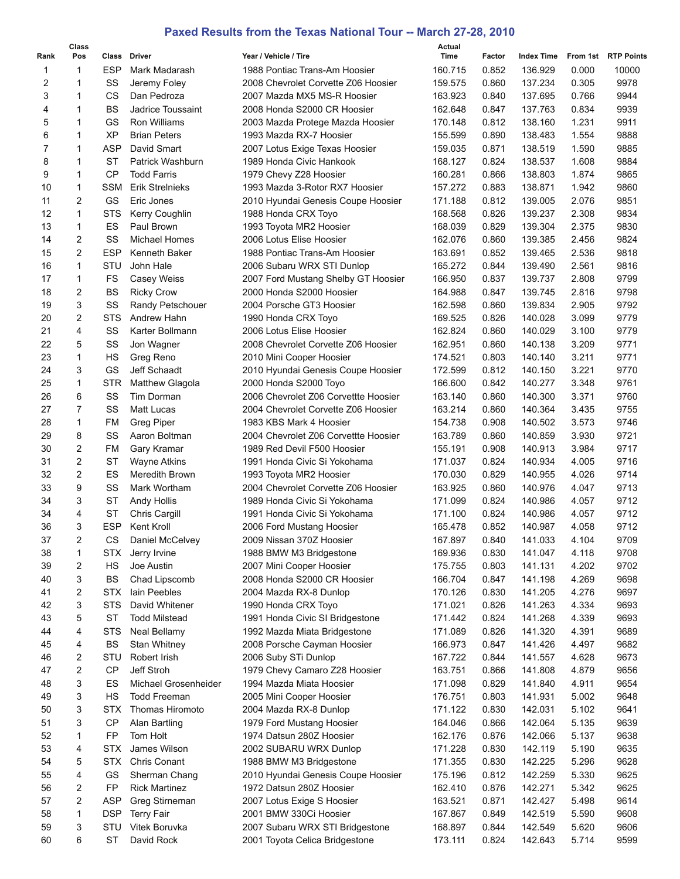## **Paxed Results from the Texas National Tour -- March 27-28, 2010**

|      | Class |            |                        |                                      | Actual  |        |                   |          |                   |
|------|-------|------------|------------------------|--------------------------------------|---------|--------|-------------------|----------|-------------------|
| Rank | Pos   | Class      | <b>Driver</b>          | Year / Vehicle / Tire                | Time    | Factor | <b>Index Time</b> | From 1st | <b>RTP Points</b> |
| 1    | 1     | <b>ESP</b> | Mark Madarash          | 1988 Pontiac Trans-Am Hoosier        | 160.715 | 0.852  | 136.929           | 0.000    | 10000             |
| 2    | 1     | SS         | Jeremy Foley           | 2008 Chevrolet Corvette Z06 Hoosier  | 159.575 | 0.860  | 137.234           | 0.305    | 9978              |
| 3    | 1     | <b>CS</b>  | Dan Pedroza            | 2007 Mazda MX5 MS-R Hoosier          | 163.923 | 0.840  | 137.695           | 0.766    | 9944              |
| 4    | 1     | BS         | Jadrice Toussaint      | 2008 Honda S2000 CR Hoosier          | 162.648 | 0.847  | 137.763           | 0.834    | 9939              |
| 5    | 1     | GS         | Ron Williams           | 2003 Mazda Protege Mazda Hoosier     | 170.148 | 0.812  | 138.160           | 1.231    | 9911              |
| 6    | 1     | <b>XP</b>  | <b>Brian Peters</b>    | 1993 Mazda RX-7 Hoosier              | 155.599 | 0.890  | 138.483           | 1.554    | 9888              |
| 7    | 1     | <b>ASP</b> | David Smart            | 2007 Lotus Exige Texas Hoosier       | 159.035 | 0.871  | 138.519           | 1.590    | 9885              |
| 8    | 1     | <b>ST</b>  | Patrick Washburn       | 1989 Honda Civic Hankook             | 168.127 | 0.824  | 138.537           | 1.608    | 9884              |
| 9    | 1     | <b>CP</b>  | <b>Todd Farris</b>     | 1979 Chevy Z28 Hoosier               | 160.281 | 0.866  | 138.803           | 1.874    | 9865              |
| 10   | 1     | <b>SSM</b> | <b>Erik Streinieks</b> | 1993 Mazda 3-Rotor RX7 Hoosier       | 157.272 | 0.883  | 138.871           | 1.942    | 9860              |
| 11   | 2     | GS         | Eric Jones             | 2010 Hyundai Genesis Coupe Hoosier   | 171.188 | 0.812  | 139.005           | 2.076    | 9851              |
| 12   | 1     | <b>STS</b> | Kerry Coughlin         | 1988 Honda CRX Toyo                  | 168.568 | 0.826  | 139.237           | 2.308    | 9834              |
| 13   | 1     | ES         | Paul Brown             | 1993 Toyota MR2 Hoosier              | 168.039 | 0.829  | 139.304           | 2.375    | 9830              |
| 14   | 2     | SS         | Michael Homes          | 2006 Lotus Elise Hoosier             | 162.076 | 0.860  | 139.385           | 2.456    | 9824              |
| 15   | 2     | <b>ESP</b> | Kenneth Baker          | 1988 Pontiac Trans-Am Hoosier        | 163.691 | 0.852  | 139.465           | 2.536    | 9818              |
| 16   | 1     | STU        | John Hale              | 2006 Subaru WRX STI Dunlop           | 165.272 | 0.844  | 139.490           | 2.561    | 9816              |
| 17   | 1     | FS         | Casey Weiss            | 2007 Ford Mustang Shelby GT Hoosier  | 166.950 | 0.837  | 139.737           | 2.808    | 9799              |
| 18   | 2     | <b>BS</b>  | <b>Ricky Crow</b>      | 2000 Honda S2000 Hoosier             | 164.988 | 0.847  | 139.745           | 2.816    | 9798              |
| 19   | 3     | SS         | Randy Petschouer       | 2004 Porsche GT3 Hoosier             | 162.598 | 0.860  | 139.834           | 2.905    | 9792              |
| 20   | 2     | <b>STS</b> | Andrew Hahn            | 1990 Honda CRX Toyo                  | 169.525 | 0.826  | 140.028           | 3.099    | 9779              |
| 21   | 4     | SS         | Karter Bollmann        | 2006 Lotus Elise Hoosier             | 162.824 | 0.860  | 140.029           | 3.100    | 9779              |
| 22   | 5     | SS         |                        | 2008 Chevrolet Corvette Z06 Hoosier  | 162.951 | 0.860  | 140.138           | 3.209    | 9771              |
| 23   | 1     | HS         | Jon Wagner             |                                      |         |        | 140.140           |          |                   |
|      |       | GS         | Greg Reno              | 2010 Mini Cooper Hoosier             | 174.521 | 0.803  |                   | 3.211    | 9771              |
| 24   | 3     |            | Jeff Schaadt           | 2010 Hyundai Genesis Coupe Hoosier   | 172.599 | 0.812  | 140.150           | 3.221    | 9770              |
| 25   | 1     | <b>STR</b> | <b>Matthew Glagola</b> | 2000 Honda S2000 Toyo                | 166.600 | 0.842  | 140.277           | 3.348    | 9761              |
| 26   | 6     | SS         | Tim Dorman             | 2006 Chevrolet Z06 Corvettte Hoosier | 163.140 | 0.860  | 140.300           | 3.371    | 9760              |
| 27   | 7     | SS         | <b>Matt Lucas</b>      | 2004 Chevrolet Corvette Z06 Hoosier  | 163.214 | 0.860  | 140.364           | 3.435    | 9755              |
| 28   | 1     | <b>FM</b>  | <b>Greg Piper</b>      | 1983 KBS Mark 4 Hoosier              | 154.738 | 0.908  | 140.502           | 3.573    | 9746              |
| 29   | 8     | SS         | Aaron Boltman          | 2004 Chevrolet Z06 Corvettte Hoosier | 163.789 | 0.860  | 140.859           | 3.930    | 9721              |
| 30   | 2     | FM         | Gary Kramar            | 1989 Red Devil F500 Hoosier          | 155.191 | 0.908  | 140.913           | 3.984    | 9717              |
| 31   | 2     | <b>ST</b>  | <b>Wayne Atkins</b>    | 1991 Honda Civic Si Yokohama         | 171.037 | 0.824  | 140.934           | 4.005    | 9716              |
| 32   | 2     | ES         | Meredith Brown         | 1993 Toyota MR2 Hoosier              | 170.030 | 0.829  | 140.955           | 4.026    | 9714              |
| 33   | 9     | SS         | Mark Wortham           | 2004 Chevrolet Corvette Z06 Hoosier  | 163.925 | 0.860  | 140.976           | 4.047    | 9713              |
| 34   | 3     | <b>ST</b>  | <b>Andy Hollis</b>     | 1989 Honda Civic Si Yokohama         | 171.099 | 0.824  | 140.986           | 4.057    | 9712              |
| 34   | 4     | <b>ST</b>  | Chris Cargill          | 1991 Honda Civic Si Yokohama         | 171.100 | 0.824  | 140.986           | 4.057    | 9712              |
| 36   | 3     | <b>ESP</b> | <b>Kent Kroll</b>      | 2006 Ford Mustang Hoosier            | 165.478 | 0.852  | 140.987           | 4.058    | 9712              |
| 37   | 2     | СS         | Daniel McCelvey        | 2009 Nissan 370Z Hoosier             | 167.897 | 0.840  | 141.033           | 4.104    | 9709              |
| 38   | 1     | <b>STX</b> | Jerry Irvine           | 1988 BMW M3 Bridgestone              | 169.936 | 0.830  | 141.047           | 4.118    | 9708              |
| 39   | 2     | HS         | Joe Austin             | 2007 Mini Cooper Hoosier             | 175.755 | 0.803  | 141.131           | 4.202    | 9702              |
| 40   | 3     | BS         | Chad Lipscomb          | 2008 Honda S2000 CR Hoosier          | 166.704 | 0.847  | 141.198           | 4.269    | 9698              |
| 41   | 2     | <b>STX</b> | lain Peebles           | 2004 Mazda RX-8 Dunlop               | 170.126 | 0.830  | 141.205           | 4.276    | 9697              |
| 42   | 3     | <b>STS</b> | David Whitener         | 1990 Honda CRX Toyo                  | 171.021 | 0.826  | 141.263           | 4.334    | 9693              |
| 43   | 5     | <b>ST</b>  | <b>Todd Milstead</b>   | 1991 Honda Civic SI Bridgestone      | 171.442 | 0.824  | 141.268           | 4.339    | 9693              |
| 44   | 4     | <b>STS</b> | Neal Bellamy           | 1992 Mazda Miata Bridgestone         | 171.089 | 0.826  | 141.320           | 4.391    | 9689              |
| 45   | 4     | BS         | Stan Whitney           | 2008 Porsche Cayman Hoosier          | 166.973 | 0.847  | 141.426           | 4.497    | 9682              |
| 46   | 2     | STU        | Robert Irish           | 2006 Suby STi Dunlop                 | 167.722 | 0.844  | 141.557           | 4.628    | 9673              |
| 47   | 2     | <b>CP</b>  | Jeff Stroh             | 1979 Chevy Camaro Z28 Hoosier        | 163.751 | 0.866  | 141.808           | 4.879    | 9656              |
| 48   | 3     | ES         | Michael Grosenheider   | 1994 Mazda Miata Hoosier             | 171.098 | 0.829  | 141.840           | 4.911    | 9654              |
| 49   | 3     | HS         | <b>Todd Freeman</b>    | 2005 Mini Cooper Hoosier             | 176.751 | 0.803  | 141.931           | 5.002    | 9648              |
| 50   | 3     | <b>STX</b> | Thomas Hiromoto        | 2004 Mazda RX-8 Dunlop               | 171.122 | 0.830  | 142.031           | 5.102    | 9641              |
| 51   | 3     | CP         | <b>Alan Bartling</b>   | 1979 Ford Mustang Hoosier            | 164.046 | 0.866  | 142.064           | 5.135    | 9639              |
| 52   | 1     | <b>FP</b>  | Tom Holt               | 1974 Datsun 280Z Hoosier             | 162.176 | 0.876  | 142.066           | 5.137    | 9638              |
| 53   | 4     | STX        | James Wilson           | 2002 SUBARU WRX Dunlop               | 171.228 | 0.830  | 142.119           | 5.190    | 9635              |
| 54   | 5     | STX        | <b>Chris Conant</b>    | 1988 BMW M3 Bridgestone              | 171.355 | 0.830  | 142.225           | 5.296    | 9628              |
| 55   | 4     | GS         | Sherman Chang          | 2010 Hyundai Genesis Coupe Hoosier   | 175.196 | 0.812  | 142.259           | 5.330    | 9625              |
| 56   | 2     | FP         | <b>Rick Martinez</b>   | 1972 Datsun 280Z Hoosier             | 162.410 | 0.876  | 142.271           | 5.342    | 9625              |
|      |       |            |                        |                                      |         |        |                   |          |                   |
| 57   | 2     | <b>ASP</b> | Greg Stirneman         | 2007 Lotus Exige S Hoosier           | 163.521 | 0.871  | 142.427           | 5.498    | 9614              |
| 58   | 1     | <b>DSP</b> | <b>Terry Fair</b>      | 2001 BMW 330Ci Hoosier               | 167.867 | 0.849  | 142.519           | 5.590    | 9608              |
| 59   | 3     | STU        | Vitek Boruvka          | 2007 Subaru WRX STI Bridgestone      | 168.897 | 0.844  | 142.549           | 5.620    | 9606              |
| 60   | 6     | <b>ST</b>  | David Rock             | 2001 Toyota Celica Bridgestone       | 173.111 | 0.824  | 142.643           | 5.714    | 9599              |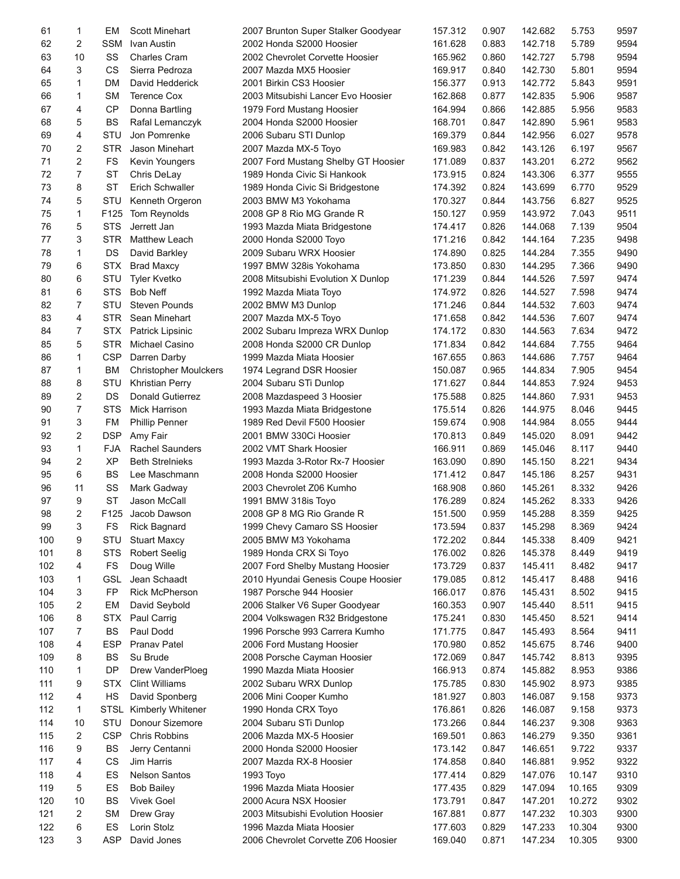| 61  | 1              | EM               | <b>Scott Minehart</b>        | 2007 Brunton Super Stalker Goodyear | 157.312 | 0.907 | 142.682 | 5.753  | 9597 |
|-----|----------------|------------------|------------------------------|-------------------------------------|---------|-------|---------|--------|------|
| 62  | $\overline{c}$ | SSM              | Ivan Austin                  | 2002 Honda S2000 Hoosier            | 161.628 | 0.883 | 142.718 | 5.789  | 9594 |
| 63  | 10             | SS               | <b>Charles Cram</b>          | 2002 Chevrolet Corvette Hoosier     | 165.962 | 0.860 | 142.727 | 5.798  | 9594 |
| 64  | 3              | CS               | Sierra Pedroza               | 2007 Mazda MX5 Hoosier              | 169.917 | 0.840 | 142.730 | 5.801  | 9594 |
| 65  | 1              | DM               | David Hedderick              | 2001 Birkin CS3 Hoosier             | 156.377 | 0.913 | 142.772 | 5.843  | 9591 |
| 66  | 1              | <b>SM</b>        | <b>Terence Cox</b>           | 2003 Mitsubishi Lancer Evo Hoosier  | 162.868 | 0.877 | 142.835 | 5.906  | 9587 |
| 67  | 4              | <b>CP</b>        | Donna Bartling               | 1979 Ford Mustang Hoosier           | 164.994 | 0.866 | 142.885 | 5.956  | 9583 |
| 68  | 5              | <b>BS</b>        | Rafal Lemanczyk              | 2004 Honda S2000 Hoosier            | 168.701 | 0.847 | 142.890 | 5.961  | 9583 |
| 69  | 4              | STU              | Jon Pomrenke                 | 2006 Subaru STI Dunlop              | 169.379 | 0.844 | 142.956 | 6.027  | 9578 |
| 70  | 2              | <b>STR</b>       | Jason Minehart               | 2007 Mazda MX-5 Toyo                | 169.983 | 0.842 | 143.126 | 6.197  | 9567 |
| 71  | $\overline{2}$ | <b>FS</b>        | Kevin Youngers               | 2007 Ford Mustang Shelby GT Hoosier | 171.089 | 0.837 | 143.201 | 6.272  | 9562 |
|     |                |                  |                              |                                     |         |       |         |        |      |
| 72  | 7              | <b>ST</b>        | Chris DeLay                  | 1989 Honda Civic Si Hankook         | 173.915 | 0.824 | 143.306 | 6.377  | 9555 |
| 73  | 8              | <b>ST</b>        | Erich Schwaller              | 1989 Honda Civic Si Bridgestone     | 174.392 | 0.824 | 143.699 | 6.770  | 9529 |
| 74  | 5              | STU              | Kenneth Orgeron              | 2003 BMW M3 Yokohama                | 170.327 | 0.844 | 143.756 | 6.827  | 9525 |
| 75  | $\mathbf{1}$   | F125             | <b>Tom Reynolds</b>          | 2008 GP 8 Rio MG Grande R           | 150.127 | 0.959 | 143.972 | 7.043  | 9511 |
| 76  | 5              | <b>STS</b>       | Jerrett Jan                  | 1993 Mazda Miata Bridgestone        | 174.417 | 0.826 | 144.068 | 7.139  | 9504 |
| 77  | 3              | <b>STR</b>       | Matthew Leach                | 2000 Honda S2000 Toyo               | 171.216 | 0.842 | 144.164 | 7.235  | 9498 |
| 78  | 1              | DS               | David Barkley                | 2009 Subaru WRX Hoosier             | 174.890 | 0.825 | 144.284 | 7.355  | 9490 |
| 79  | 6              | <b>STX</b>       | <b>Brad Maxcy</b>            | 1997 BMW 328is Yokohama             | 173.850 | 0.830 | 144.295 | 7.366  | 9490 |
| 80  | 6              | <b>STU</b>       | <b>Tyler Kvetko</b>          | 2008 Mitsubishi Evolution X Dunlop  | 171.239 | 0.844 | 144.526 | 7.597  | 9474 |
| 81  | 6              | <b>STS</b>       | <b>Bob Neff</b>              | 1992 Mazda Miata Toyo               | 174.972 | 0.826 | 144.527 | 7.598  | 9474 |
| 82  | 7              | STU              | <b>Steven Pounds</b>         | 2002 BMW M3 Dunlop                  | 171.246 | 0.844 | 144.532 | 7.603  | 9474 |
| 83  | 4              | <b>STR</b>       | Sean Minehart                | 2007 Mazda MX-5 Toyo                | 171.658 | 0.842 | 144.536 | 7.607  | 9474 |
| 84  | 7              | <b>STX</b>       | <b>Patrick Lipsinic</b>      | 2002 Subaru Impreza WRX Dunlop      | 174.172 | 0.830 | 144.563 | 7.634  | 9472 |
| 85  | 5              | <b>STR</b>       | Michael Casino               | 2008 Honda S2000 CR Dunlop          | 171.834 | 0.842 | 144.684 | 7.755  | 9464 |
| 86  | 1              | <b>CSP</b>       | Darren Darby                 | 1999 Mazda Miata Hoosier            | 167.655 | 0.863 | 144.686 | 7.757  | 9464 |
| 87  | $\mathbf{1}$   | BM               | <b>Christopher Moulckers</b> | 1974 Legrand DSR Hoosier            | 150.087 | 0.965 | 144.834 | 7.905  | 9454 |
| 88  | 8              | STU              | <b>Khristian Perry</b>       | 2004 Subaru STi Dunlop              | 171.627 | 0.844 | 144.853 | 7.924  | 9453 |
| 89  | $\overline{c}$ | DS               | <b>Donald Gutierrez</b>      | 2008 Mazdaspeed 3 Hoosier           | 175.588 | 0.825 | 144.860 | 7.931  | 9453 |
| 90  | $\overline{7}$ | <b>STS</b>       | Mick Harrison                | 1993 Mazda Miata Bridgestone        | 175.514 | 0.826 | 144.975 | 8.046  | 9445 |
| 91  | 3              | FM               | <b>Phillip Penner</b>        | 1989 Red Devil F500 Hoosier         | 159.674 | 0.908 | 144.984 | 8.055  | 9444 |
|     |                |                  |                              |                                     |         |       |         |        |      |
| 92  | $\overline{c}$ | <b>DSP</b>       | Amy Fair                     | 2001 BMW 330Ci Hoosier              | 170.813 | 0.849 | 145.020 | 8.091  | 9442 |
| 93  | $\mathbf{1}$   | <b>FJA</b>       | <b>Rachel Saunders</b>       | 2002 VMT Shark Hoosier              | 166.911 | 0.869 | 145.046 | 8.117  | 9440 |
| 94  | $\overline{c}$ | <b>XP</b>        | <b>Beth Strelnieks</b>       | 1993 Mazda 3-Rotor Rx-7 Hoosier     | 163.090 | 0.890 | 145.150 | 8.221  | 9434 |
| 95  | 6              | <b>BS</b>        | Lee Maschmann                | 2008 Honda S2000 Hoosier            | 171.412 | 0.847 | 145.186 | 8.257  | 9431 |
| 96  | 11             | SS               | Mark Gadway                  | 2003 Chevrolet Z06 Kumho            | 168.908 | 0.860 | 145.261 | 8.332  | 9426 |
| 97  | 9              | <b>ST</b>        | Jason McCall                 | 1991 BMW 318is Toyo                 | 176.289 | 0.824 | 145.262 | 8.333  | 9426 |
| 98  | 2              | F <sub>125</sub> | Jacob Dawson                 | 2008 GP 8 MG Rio Grande R           | 151.500 | 0.959 | 145.288 | 8.359  | 9425 |
| 99  | 3              | FS               | <b>Rick Bagnard</b>          | 1999 Chevy Camaro SS Hoosier        | 173.594 | 0.837 | 145.298 | 8.369  | 9424 |
| 100 | 9              | STU              | <b>Stuart Maxcy</b>          | 2005 BMW M3 Yokohama                | 172.202 | 0.844 | 145.338 | 8.409  | 9421 |
| 101 | 8              | <b>STS</b>       | <b>Robert Seelig</b>         | 1989 Honda CRX Si Toyo              | 176.002 | 0.826 | 145.378 | 8.449  | 9419 |
| 102 | 4              | FS               | Doug Wille                   | 2007 Ford Shelby Mustang Hoosier    | 173.729 | 0.837 | 145.411 | 8.482  | 9417 |
| 103 | 1              | <b>GSL</b>       | Jean Schaadt                 | 2010 Hyundai Genesis Coupe Hoosier  | 179.085 | 0.812 | 145.417 | 8.488  | 9416 |
| 104 | 3              | <b>FP</b>        | <b>Rick McPherson</b>        | 1987 Porsche 944 Hoosier            | 166.017 | 0.876 | 145.431 | 8.502  | 9415 |
| 105 | $\overline{c}$ | EM               | David Seybold                | 2006 Stalker V6 Super Goodyear      | 160.353 | 0.907 | 145.440 | 8.511  | 9415 |
| 106 | 8              | <b>STX</b>       | Paul Carrig                  | 2004 Volkswagen R32 Bridgestone     | 175.241 | 0.830 | 145.450 | 8.521  | 9414 |
| 107 | 7              | BS               | Paul Dodd                    | 1996 Porsche 993 Carrera Kumho      | 171.775 | 0.847 | 145.493 | 8.564  | 9411 |
| 108 | 4              | ESP              | <b>Pranav Patel</b>          | 2006 Ford Mustang Hoosier           | 170.980 | 0.852 | 145.675 | 8.746  | 9400 |
| 109 | 8              | BS               | Su Brude                     | 2008 Porsche Cayman Hoosier         | 172.069 | 0.847 | 145.742 | 8.813  | 9395 |
| 110 | 1              | DP               | Drew VanderPloeg             | 1990 Mazda Miata Hoosier            | 166.913 | 0.874 | 145.882 | 8.953  | 9386 |
| 111 | 9              | <b>STX</b>       | <b>Clint Williams</b>        | 2002 Subaru WRX Dunlop              | 175.785 | 0.830 | 145.902 | 8.973  | 9385 |
| 112 | 4              | HS               |                              | 2006 Mini Cooper Kumho              | 181.927 | 0.803 | 146.087 | 9.158  | 9373 |
| 112 |                |                  | David Sponberg               |                                     |         |       |         |        |      |
|     | 1              | STSL             | <b>Kimberly Whitener</b>     | 1990 Honda CRX Toyo                 | 176.861 | 0.826 | 146.087 | 9.158  | 9373 |
| 114 | 10             | STU              | Donour Sizemore              | 2004 Subaru STi Dunlop              | 173.266 | 0.844 | 146.237 | 9.308  | 9363 |
| 115 | $\overline{2}$ | <b>CSP</b>       | Chris Robbins                | 2006 Mazda MX-5 Hoosier             | 169.501 | 0.863 | 146.279 | 9.350  | 9361 |
| 116 | 9              | BS               | Jerry Centanni               | 2000 Honda S2000 Hoosier            | 173.142 | 0.847 | 146.651 | 9.722  | 9337 |
| 117 | 4              | CS               | <b>Jim Harris</b>            | 2007 Mazda RX-8 Hoosier             | 174.858 | 0.840 | 146.881 | 9.952  | 9322 |
| 118 | 4              | ES               | <b>Nelson Santos</b>         | 1993 Toyo                           | 177.414 | 0.829 | 147.076 | 10.147 | 9310 |
| 119 | 5              | ES               | <b>Bob Bailey</b>            | 1996 Mazda Miata Hoosier            | 177.435 | 0.829 | 147.094 | 10.165 | 9309 |
| 120 | 10             | BS               | <b>Vivek Goel</b>            | 2000 Acura NSX Hoosier              | 173.791 | 0.847 | 147.201 | 10.272 | 9302 |
| 121 | 2              | <b>SM</b>        | Drew Gray                    | 2003 Mitsubishi Evolution Hoosier   | 167.881 | 0.877 | 147.232 | 10.303 | 9300 |
| 122 | 6              | ES               | Lorin Stolz                  | 1996 Mazda Miata Hoosier            | 177.603 | 0.829 | 147.233 | 10.304 | 9300 |
| 123 | 3              | ASP              | David Jones                  | 2006 Chevrolet Corvette Z06 Hoosier | 169.040 | 0.871 | 147.234 | 10.305 | 9300 |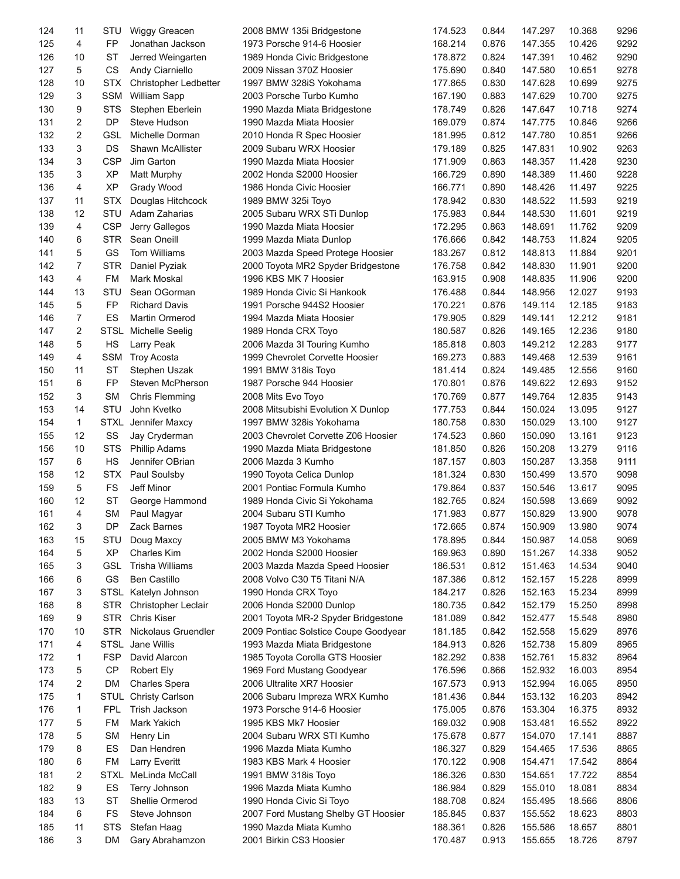| 124 | 11             | STU         | Wiggy Greacen           | 2008 BMW 135i Bridgestone            | 174.523 | 0.844 | 147.297 | 10.368 | 9296 |
|-----|----------------|-------------|-------------------------|--------------------------------------|---------|-------|---------|--------|------|
| 125 | 4              | FP          | Jonathan Jackson        | 1973 Porsche 914-6 Hoosier           | 168.214 | 0.876 | 147.355 | 10.426 | 9292 |
| 126 | 10             | <b>ST</b>   | Jerred Weingarten       | 1989 Honda Civic Bridgestone         | 178.872 | 0.824 | 147.391 | 10.462 | 9290 |
| 127 | 5              | CS          | Andy Ciarniello         | 2009 Nissan 370Z Hoosier             | 175.690 | 0.840 | 147.580 | 10.651 | 9278 |
| 128 | 10             | <b>STX</b>  | Christopher Ledbetter   | 1997 BMW 328iS Yokohama              | 177.865 | 0.830 | 147.628 | 10.699 | 9275 |
| 129 | 3              | SSM         | <b>William Sapp</b>     | 2003 Porsche Turbo Kumho             | 167.190 | 0.883 | 147.629 | 10.700 | 9275 |
| 130 | 9              | <b>STS</b>  | Stephen Eberlein        | 1990 Mazda Miata Bridgestone         | 178.749 | 0.826 | 147.647 | 10.718 | 9274 |
| 131 | 2              | DP          | Steve Hudson            | 1990 Mazda Miata Hoosier             | 169.079 | 0.874 | 147.775 | 10.846 | 9266 |
| 132 | $\overline{2}$ | <b>GSL</b>  | Michelle Dorman         | 2010 Honda R Spec Hoosier            | 181.995 | 0.812 | 147.780 | 10.851 | 9266 |
| 133 | 3              | DS          | <b>Shawn McAllister</b> | 2009 Subaru WRX Hoosier              | 179.189 | 0.825 | 147.831 | 10.902 | 9263 |
|     | 3              | <b>CSP</b>  | Jim Garton              |                                      |         |       |         |        | 9230 |
| 134 |                |             |                         | 1990 Mazda Miata Hoosier             | 171.909 | 0.863 | 148.357 | 11.428 |      |
| 135 | 3              | <b>XP</b>   | Matt Murphy             | 2002 Honda S2000 Hoosier             | 166.729 | 0.890 | 148.389 | 11.460 | 9228 |
| 136 | 4              | <b>XP</b>   | Grady Wood              | 1986 Honda Civic Hoosier             | 166.771 | 0.890 | 148.426 | 11.497 | 9225 |
| 137 | 11             | <b>STX</b>  | Douglas Hitchcock       | 1989 BMW 325i Toyo                   | 178.942 | 0.830 | 148.522 | 11.593 | 9219 |
| 138 | 12             | STU         | Adam Zaharias           | 2005 Subaru WRX STi Dunlop           | 175.983 | 0.844 | 148.530 | 11.601 | 9219 |
| 139 | 4              | <b>CSP</b>  | Jerry Gallegos          | 1990 Mazda Miata Hoosier             | 172.295 | 0.863 | 148.691 | 11.762 | 9209 |
| 140 | 6              | <b>STR</b>  | Sean Oneill             | 1999 Mazda Miata Dunlop              | 176.666 | 0.842 | 148.753 | 11.824 | 9205 |
| 141 | 5              | GS          | Tom Williams            | 2003 Mazda Speed Protege Hoosier     | 183.267 | 0.812 | 148.813 | 11.884 | 9201 |
| 142 | $\overline{7}$ | <b>STR</b>  | Daniel Pyziak           | 2000 Toyota MR2 Spyder Bridgestone   | 176.758 | 0.842 | 148.830 | 11.901 | 9200 |
| 143 | 4              | FM          | Mark Moskal             | 1996 KBS MK 7 Hoosier                | 163.915 | 0.908 | 148.835 | 11.906 | 9200 |
| 144 | 13             | STU         | Sean OGorman            | 1989 Honda Civic Si Hankook          | 176.488 | 0.844 | 148.956 | 12.027 | 9193 |
| 145 | 5              | FP          | <b>Richard Davis</b>    | 1991 Porsche 944S2 Hoosier           | 170.221 | 0.876 | 149.114 | 12.185 | 9183 |
| 146 | 7              | ES          | Martin Ormerod          | 1994 Mazda Miata Hoosier             | 179.905 | 0.829 | 149.141 | 12.212 | 9181 |
| 147 | 2              | <b>STSL</b> | <b>Michelle Seelig</b>  | 1989 Honda CRX Toyo                  | 180.587 | 0.826 | 149.165 | 12.236 | 9180 |
| 148 | 5              | HS          | Larry Peak              | 2006 Mazda 3I Touring Kumho          | 185.818 | 0.803 | 149.212 | 12.283 | 9177 |
| 149 | 4              | SSM         | <b>Troy Acosta</b>      | 1999 Chevrolet Corvette Hoosier      | 169.273 | 0.883 | 149.468 | 12.539 | 9161 |
| 150 | 11             | <b>ST</b>   | Stephen Uszak           | 1991 BMW 318is Toyo                  | 181.414 | 0.824 | 149.485 | 12.556 | 9160 |
| 151 | 6              | FP          | Steven McPherson        | 1987 Porsche 944 Hoosier             | 170.801 | 0.876 | 149.622 | 12.693 | 9152 |
| 152 | 3              | <b>SM</b>   | <b>Chris Flemming</b>   | 2008 Mits Evo Toyo                   | 170.769 | 0.877 | 149.764 | 12.835 | 9143 |
| 153 | 14             | STU         | John Kvetko             | 2008 Mitsubishi Evolution X Dunlop   | 177.753 | 0.844 | 150.024 | 13.095 | 9127 |
| 154 | 1              | <b>STXL</b> | Jennifer Maxcy          | 1997 BMW 328is Yokohama              | 180.758 | 0.830 | 150.029 | 13.100 | 9127 |
|     | 12             |             |                         |                                      |         |       |         |        | 9123 |
| 155 |                | SS          | Jay Cryderman           | 2003 Chevrolet Corvette Z06 Hoosier  | 174.523 | 0.860 | 150.090 | 13.161 |      |
| 156 | 10             | <b>STS</b>  | <b>Phillip Adams</b>    | 1990 Mazda Miata Bridgestone         | 181.850 | 0.826 | 150.208 | 13.279 | 9116 |
| 157 | 6              | HS          | Jennifer OBrian         | 2006 Mazda 3 Kumho                   | 187.157 | 0.803 | 150.287 | 13.358 | 9111 |
| 158 | 12             | <b>STX</b>  | Paul Soulsby            | 1990 Toyota Celica Dunlop            | 181.324 | 0.830 | 150.499 | 13.570 | 9098 |
| 159 | 5              | <b>FS</b>   | Jeff Minor              | 2001 Pontiac Formula Kumho           | 179.864 | 0.837 | 150.546 | 13.617 | 9095 |
| 160 | 12             | <b>ST</b>   | George Hammond          | 1989 Honda Civic Si Yokohama         | 182.765 | 0.824 | 150.598 | 13.669 | 9092 |
| 161 | 4              | <b>SM</b>   | Paul Magyar             | 2004 Subaru STI Kumho                | 171.983 | 0.877 | 150.829 | 13.900 | 9078 |
| 162 | 3              | DP          | Zack Barnes             | 1987 Toyota MR2 Hoosier              | 172.665 | 0.874 | 150.909 | 13.980 | 9074 |
| 163 | 15             | STU         | Doug Maxcy              | 2005 BMW M3 Yokohama                 | 178.895 | 0.844 | 150.987 | 14.058 | 9069 |
| 164 | 5              | <b>XP</b>   | <b>Charles Kim</b>      | 2002 Honda S2000 Hoosier             | 169.963 | 0.890 | 151.267 | 14.338 | 9052 |
| 165 | 3              | <b>GSL</b>  | <b>Trisha Williams</b>  | 2003 Mazda Mazda Speed Hoosier       | 186.531 | 0.812 | 151.463 | 14.534 | 9040 |
| 166 | 6              | GS          | <b>Ben Castillo</b>     | 2008 Volvo C30 T5 Titani N/A         | 187.386 | 0.812 | 152.157 | 15.228 | 8999 |
| 167 | 3              |             | STSL Katelyn Johnson    | 1990 Honda CRX Toyo                  | 184.217 | 0.826 | 152.163 | 15.234 | 8999 |
| 168 | 8              | <b>STR</b>  | Christopher Leclair     | 2006 Honda S2000 Dunlop              | 180.735 | 0.842 | 152.179 | 15.250 | 8998 |
| 169 | 9              | <b>STR</b>  | <b>Chris Kiser</b>      | 2001 Toyota MR-2 Spyder Bridgestone  | 181.089 | 0.842 | 152.477 | 15.548 | 8980 |
| 170 | 10             | <b>STR</b>  | Nickolaus Gruendler     | 2009 Pontiac Solstice Coupe Goodyear | 181.185 | 0.842 | 152.558 | 15.629 | 8976 |
| 171 | 4              | <b>STSL</b> | Jane Willis             | 1993 Mazda Miata Bridgestone         | 184.913 | 0.826 | 152.738 | 15.809 | 8965 |
| 172 | 1              | <b>FSP</b>  | David Alarcon           | 1985 Toyota Corolla GTS Hoosier      | 182.292 | 0.838 | 152.761 | 15.832 | 8964 |
| 173 | 5              | <b>CP</b>   | <b>Robert Ely</b>       | 1969 Ford Mustang Goodyear           | 176.596 | 0.866 | 152.932 | 16.003 | 8954 |
| 174 | 2              | <b>DM</b>   | Charles Spera           | 2006 Ultralite XR7 Hoosier           | 167.573 | 0.913 | 152.994 | 16.065 | 8950 |
| 175 | 1              | STUL        | <b>Christy Carlson</b>  | 2006 Subaru Impreza WRX Kumho        | 181.436 | 0.844 | 153.132 | 16.203 | 8942 |
| 176 | 1              | <b>FPL</b>  | Trish Jackson           | 1973 Porsche 914-6 Hoosier           | 175.005 | 0.876 | 153.304 | 16.375 | 8932 |
| 177 | 5              | FM          | Mark Yakich             | 1995 KBS Mk7 Hoosier                 | 169.032 | 0.908 | 153.481 | 16.552 | 8922 |
|     |                |             |                         |                                      |         |       |         |        |      |
| 178 | 5              | <b>SM</b>   | Henry Lin               | 2004 Subaru WRX STI Kumho            | 175.678 | 0.877 | 154.070 | 17.141 | 8887 |
| 179 | 8              | ES          | Dan Hendren             | 1996 Mazda Miata Kumho               | 186.327 | 0.829 | 154.465 | 17.536 | 8865 |
| 180 | 6              | FM          | Larry Everitt           | 1983 KBS Mark 4 Hoosier              | 170.122 | 0.908 | 154.471 | 17.542 | 8864 |
| 181 | 2              | <b>STXL</b> | MeLinda McCall          | 1991 BMW 318is Toyo                  | 186.326 | 0.830 | 154.651 | 17.722 | 8854 |
| 182 | 9              | ES          | Terry Johnson           | 1996 Mazda Miata Kumho               | 186.984 | 0.829 | 155.010 | 18.081 | 8834 |
| 183 | 13             | <b>ST</b>   | Shellie Ormerod         | 1990 Honda Civic Si Toyo             | 188.708 | 0.824 | 155.495 | 18.566 | 8806 |
| 184 | 6              | FS          | Steve Johnson           | 2007 Ford Mustang Shelby GT Hoosier  | 185.845 | 0.837 | 155.552 | 18.623 | 8803 |
| 185 | 11             | <b>STS</b>  | Stefan Haag             | 1990 Mazda Miata Kumho               | 188.361 | 0.826 | 155.586 | 18.657 | 8801 |
| 186 | 3              | DM          | Gary Abrahamzon         | 2001 Birkin CS3 Hoosier              | 170.487 | 0.913 | 155.655 | 18.726 | 8797 |